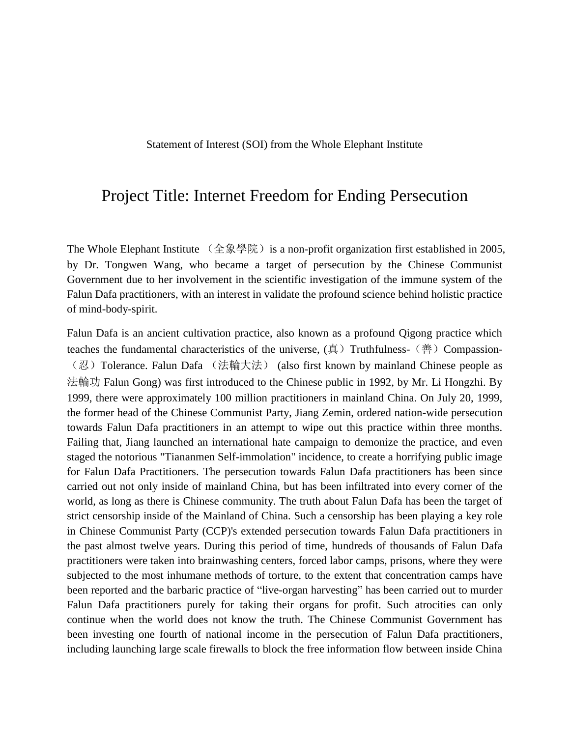Statement of Interest (SOI) from the Whole Elephant Institute

## Project Title: Internet Freedom for Ending Persecution

The Whole Elephant Institute  $($ 全象學院) is a non-profit organization first established in 2005, by Dr. Tongwen Wang, who became a target of persecution by the Chinese Communist Government due to her involvement in the scientific investigation of the immune system of the Falun Dafa practitioners, with an interest in validate the profound science behind holistic practice of mind-body-spirit.

Falun Dafa is an ancient cultivation practice, also known as a profound Qigong practice which teaches the fundamental characteristics of the universe,  $(\bar{A})$  Truthfulness- $(\dot{\bar{A}})$  Compassion-(忍)Tolerance. Falun Dafa (法輪大法) (also first known by mainland Chinese people as 法輪功 Falun Gong) was first introduced to the Chinese public in 1992, by Mr. Li Hongzhi. By 1999, there were approximately 100 million practitioners in mainland China. On July 20, 1999, the former head of the Chinese Communist Party, Jiang Zemin, ordered nation-wide persecution towards Falun Dafa practitioners in an attempt to wipe out this practice within three months. Failing that, Jiang launched an international hate campaign to demonize the practice, and even staged the notorious "Tiananmen Self-immolation" incidence, to create a horrifying public image for Falun Dafa Practitioners. The persecution towards Falun Dafa practitioners has been since carried out not only inside of mainland China, but has been infiltrated into every corner of the world, as long as there is Chinese community. The truth about Falun Dafa has been the target of strict censorship inside of the Mainland of China. Such a censorship has been playing a key role in Chinese Communist Party (CCP)'s extended persecution towards Falun Dafa practitioners in the past almost twelve years. During this period of time, hundreds of thousands of Falun Dafa practitioners were taken into brainwashing centers, forced labor camps, prisons, where they were subjected to the most inhumane methods of torture, to the extent that concentration camps have been reported and the barbaric practice of "live-organ harvesting" has been carried out to murder Falun Dafa practitioners purely for taking their organs for profit. Such atrocities can only continue when the world does not know the truth. The Chinese Communist Government has been investing one fourth of national income in the persecution of Falun Dafa practitioners, including launching large scale firewalls to block the free information flow between inside China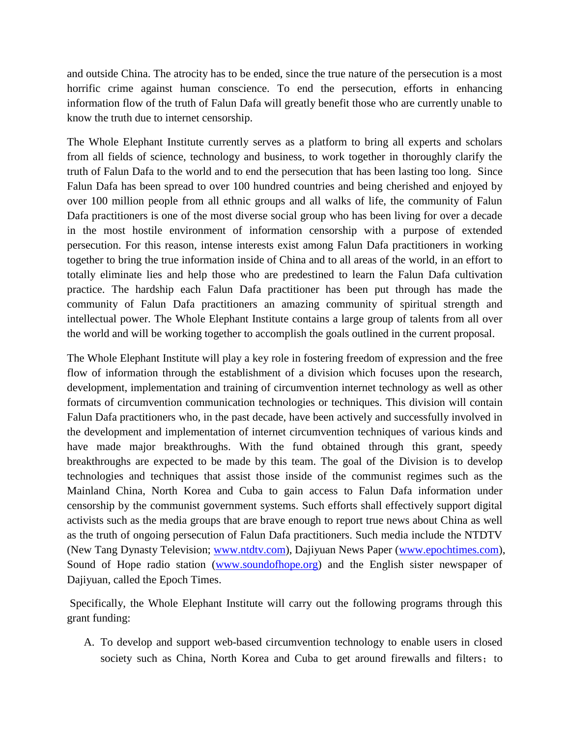and outside China. The atrocity has to be ended, since the true nature of the persecution is a most horrific crime against human conscience. To end the persecution, efforts in enhancing information flow of the truth of Falun Dafa will greatly benefit those who are currently unable to know the truth due to internet censorship.

The Whole Elephant Institute currently serves as a platform to bring all experts and scholars from all fields of science, technology and business, to work together in thoroughly clarify the truth of Falun Dafa to the world and to end the persecution that has been lasting too long. Since Falun Dafa has been spread to over 100 hundred countries and being cherished and enjoyed by over 100 million people from all ethnic groups and all walks of life, the community of Falun Dafa practitioners is one of the most diverse social group who has been living for over a decade in the most hostile environment of information censorship with a purpose of extended persecution. For this reason, intense interests exist among Falun Dafa practitioners in working together to bring the true information inside of China and to all areas of the world, in an effort to totally eliminate lies and help those who are predestined to learn the Falun Dafa cultivation practice. The hardship each Falun Dafa practitioner has been put through has made the community of Falun Dafa practitioners an amazing community of spiritual strength and intellectual power. The Whole Elephant Institute contains a large group of talents from all over the world and will be working together to accomplish the goals outlined in the current proposal.

The Whole Elephant Institute will play a key role in fostering freedom of expression and the free flow of information through the establishment of a division which focuses upon the research, development, implementation and training of circumvention internet technology as well as other formats of circumvention communication technologies or techniques. This division will contain Falun Dafa practitioners who, in the past decade, have been actively and successfully involved in the development and implementation of internet circumvention techniques of various kinds and have made major breakthroughs. With the fund obtained through this grant, speedy breakthroughs are expected to be made by this team. The goal of the Division is to develop technologies and techniques that assist those inside of the communist regimes such as the Mainland China, North Korea and Cuba to gain access to Falun Dafa information under censorship by the communist government systems. Such efforts shall effectively support digital activists such as the media groups that are brave enough to report true news about China as well as the truth of ongoing persecution of Falun Dafa practitioners. Such media include the NTDTV (New Tang Dynasty Television; [www.ntdtv.com\)](http://www.ntdtv.com/), Dajiyuan News Paper [\(www.epochtimes.com\)](http://www.epochtimes.com/), Sound of Hope radio station [\(www.soundofhope.org\)](http://www.soundofhope.org/) and the English sister newspaper of Dajiyuan, called the Epoch Times.

Specifically, the Whole Elephant Institute will carry out the following programs through this grant funding:

A. To develop and support web-based circumvention technology to enable users in closed society such as China, North Korea and Cuba to get around firewalls and filters; to